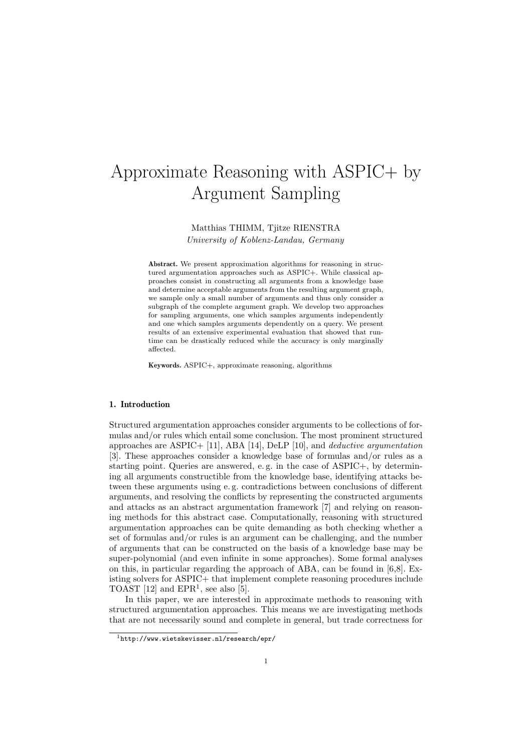# Approximate Reasoning with ASPIC+ by Argument Sampling

Matthias THIMM, Tjitze RIENSTRA University of Koblenz-Landau, Germany

Abstract. We present approximation algorithms for reasoning in structured argumentation approaches such as ASPIC+. While classical approaches consist in constructing all arguments from a knowledge base and determine acceptable arguments from the resulting argument graph, we sample only a small number of arguments and thus only consider a subgraph of the complete argument graph. We develop two approaches for sampling arguments, one which samples arguments independently and one which samples arguments dependently on a query. We present results of an extensive experimental evaluation that showed that runtime can be drastically reduced while the accuracy is only marginally affected.

Keywords. ASPIC+, approximate reasoning, algorithms

# 1. Introduction

Structured argumentation approaches consider arguments to be collections of formulas and/or rules which entail some conclusion. The most prominent structured approaches are ASPIC+ [11], ABA [14], DeLP [10], and deductive argumentation [3]. These approaches consider a knowledge base of formulas and/or rules as a starting point. Queries are answered, e. g. in the case of ASPIC+, by determining all arguments constructible from the knowledge base, identifying attacks between these arguments using e. g. contradictions between conclusions of different arguments, and resolving the conflicts by representing the constructed arguments and attacks as an abstract argumentation framework [7] and relying on reasoning methods for this abstract case. Computationally, reasoning with structured argumentation approaches can be quite demanding as both checking whether a set of formulas and/or rules is an argument can be challenging, and the number of arguments that can be constructed on the basis of a knowledge base may be super-polynomial (and even infinite in some approaches). Some formal analyses on this, in particular regarding the approach of ABA, can be found in [6,8]. Existing solvers for ASPIC+ that implement complete reasoning procedures include TOAST  $[12]$  and EPR<sup>1</sup>, see also  $[5]$ .

In this paper, we are interested in approximate methods to reasoning with structured argumentation approaches. This means we are investigating methods that are not necessarily sound and complete in general, but trade correctness for

<sup>1</sup>http://www.wietskevisser.nl/research/epr/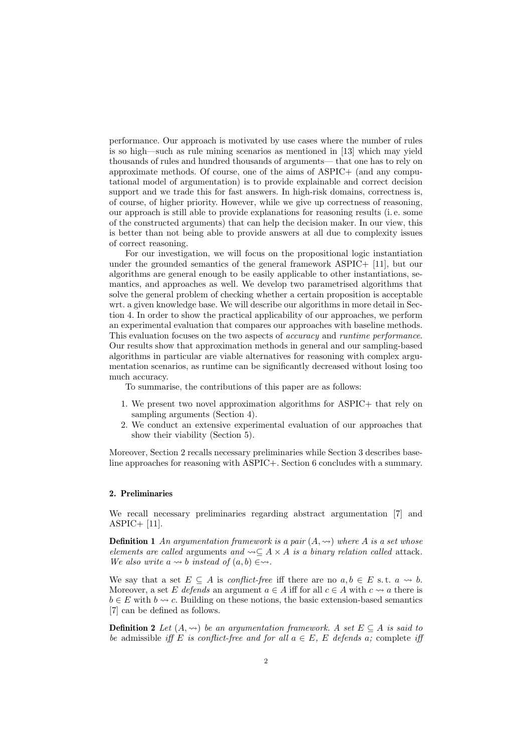performance. Our approach is motivated by use cases where the number of rules is so high—such as rule mining scenarios as mentioned in [13] which may yield thousands of rules and hundred thousands of arguments— that one has to rely on approximate methods. Of course, one of the aims of ASPIC+ (and any computational model of argumentation) is to provide explainable and correct decision support and we trade this for fast answers. In high-risk domains, correctness is, of course, of higher priority. However, while we give up correctness of reasoning, our approach is still able to provide explanations for reasoning results (i. e. some of the constructed arguments) that can help the decision maker. In our view, this is better than not being able to provide answers at all due to complexity issues of correct reasoning.

For our investigation, we will focus on the propositional logic instantiation under the grounded semantics of the general framework ASPIC+ [11], but our algorithms are general enough to be easily applicable to other instantiations, semantics, and approaches as well. We develop two parametrised algorithms that solve the general problem of checking whether a certain proposition is acceptable wrt. a given knowledge base. We will describe our algorithms in more detail in Section 4. In order to show the practical applicability of our approaches, we perform an experimental evaluation that compares our approaches with baseline methods. This evaluation focuses on the two aspects of *accuracy* and *runtime performance*. Our results show that approximation methods in general and our sampling-based algorithms in particular are viable alternatives for reasoning with complex argumentation scenarios, as runtime can be significantly decreased without losing too much accuracy.

To summarise, the contributions of this paper are as follows:

- 1. We present two novel approximation algorithms for ASPIC+ that rely on sampling arguments (Section 4).
- 2. We conduct an extensive experimental evaluation of our approaches that show their viability (Section 5).

Moreover, Section 2 recalls necessary preliminaries while Section 3 describes baseline approaches for reasoning with ASPIC+. Section 6 concludes with a summary.

# 2. Preliminaries

We recall necessary preliminaries regarding abstract argumentation [7] and ASPIC+ [11].

**Definition 1** An argumentation framework is a pair  $(A, \rightarrow)$  where A is a set whose elements are called arguments and  $\leadsto \subseteq A \times A$  is a binary relation called attack. We also write  $a \leadsto b$  instead of  $(a, b) \in \leadsto$ .

We say that a set  $E \subseteq A$  is *conflict-free* iff there are no  $a, b \in E$  s.t.  $a \leadsto b$ . Moreover, a set E defends an argument  $a \in A$  iff for all  $c \in A$  with  $c \leadsto a$  there is  $b \in E$  with  $b \leadsto c$ . Building on these notions, the basic extension-based semantics [7] can be defined as follows.

**Definition 2** Let  $(A, \leadsto)$  be an argumentation framework. A set  $E \subseteq A$  is said to be admissible iff E is conflict-free and for all  $a \in E$ , E defends a; complete iff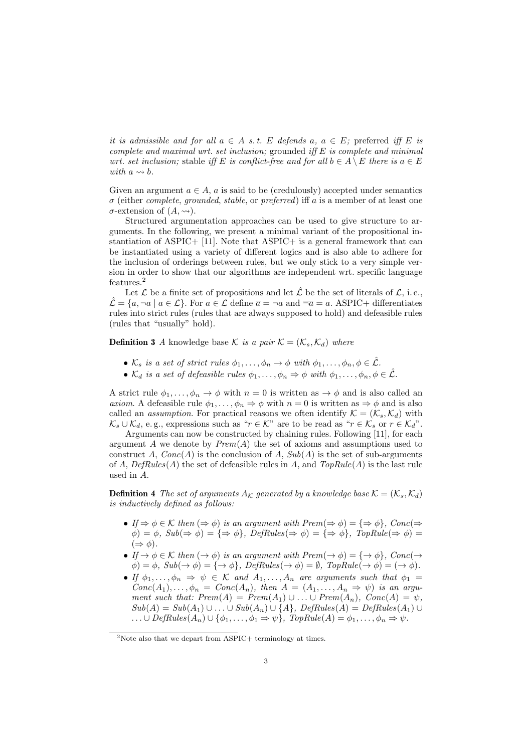it is admissible and for all  $a \in A$  s.t. E defends  $a, a \in E$ ; preferred iff E is complete and maximal wrt. set inclusion; grounded iff  $E$  is complete and minimal wrt. set inclusion; stable iff E is conflict-free and for all  $b \in A \setminus E$  there is  $a \in E$ with  $a \rightarrow b$ .

Given an argument  $a \in A$ , a is said to be (credulously) accepted under semantics  $\sigma$  (either *complete, grounded, stable, or preferred*) iff a is a member of at least one  $\sigma$ -extension of  $(A, \leadsto)$ .

Structured argumentation approaches can be used to give structure to arguments. In the following, we present a minimal variant of the propositional instantiation of ASPIC+ [11]. Note that ASPIC+ is a general framework that can be instantiated using a variety of different logics and is also able to adhere for the inclusion of orderings between rules, but we only stick to a very simple version in order to show that our algorithms are independent wrt. specific language features.<sup>2</sup>

Let  $\mathcal L$  be a finite set of propositions and let  $\hat{\mathcal L}$  be the set of literals of  $\mathcal L$ , i.e.,  $\mathcal{L} = \{a, \neg a \mid a \in \mathcal{L}\}\.$  For  $a \in \mathcal{L}$  define  $\overline{a} = \neg a$  and  $\overline{\neg a} = a$ . ASPIC+ differentiates rules into strict rules (rules that are always supposed to hold) and defeasible rules (rules that "usually" hold).

**Definition 3** A knowledge base K is a pair  $\mathcal{K} = (\mathcal{K}_s, \mathcal{K}_d)$  where

- $\mathcal{K}_s$  is a set of strict rules  $\phi_1, \ldots, \phi_n \to \phi$  with  $\phi_1, \ldots, \phi_n, \phi \in \hat{\mathcal{L}}$ .
- $\mathcal{K}_d$  is a set of defeasible rules  $\phi_1, \ldots, \phi_n \Rightarrow \phi$  with  $\phi_1, \ldots, \phi_n, \phi \in \mathcal{L}$ .

A strict rule  $\phi_1, \ldots, \phi_n \to \phi$  with  $n = 0$  is written as  $\to \phi$  and is also called an axiom. A defeasible rule  $\phi_1, \ldots, \phi_n \Rightarrow \phi$  with  $n = 0$  is written as  $\Rightarrow \phi$  and is also called an *assumption*. For practical reasons we often identify  $\mathcal{K} = (\mathcal{K}_s, \mathcal{K}_d)$  with  $\mathcal{K}_s \cup \mathcal{K}_d$ , e.g., expressions such as " $r \in \mathcal{K}$ " are to be read as " $r \in \mathcal{K}_s$  or  $r \in \mathcal{K}_d$ ".

Arguments can now be constructed by chaining rules. Following [11], for each argument  $A$  we denote by  $Prem(A)$  the set of axioms and assumptions used to construct A,  $Conc(A)$  is the conclusion of A,  $Sub(A)$  is the set of sub-arguments of A,  $DefRules(A)$  the set of defeasible rules in A, and  $TopRule(A)$  is the last rule used in A.

**Definition 4** The set of arguments  $A_K$  generated by a knowledge base  $K = (K_s, K_d)$ is inductively defined as follows:

- If  $\Rightarrow \phi \in \mathcal{K}$  then  $(\Rightarrow \phi)$  is an argument with  $Prem(\Rightarrow \phi) = {\Rightarrow \phi}, Con(\Rightarrow \phi)$  $\phi$ ) =  $\phi$ , Sub( $\Rightarrow$   $\phi$ ) = { $\Rightarrow$   $\phi$ }, DefRules( $\Rightarrow$   $\phi$ ) = { $\Rightarrow$   $\phi$ }, TopRule( $\Rightarrow$   $\phi$ ) =  $(\Rightarrow \phi).$
- If  $\rightarrow \phi \in \mathcal{K}$  then  $(\rightarrow \phi)$  is an argument with  $Prem(\rightarrow \phi) = {\rightarrow \phi}, Conc(\rightarrow$  $\phi$ ) =  $\phi$ , Sub( $\rightarrow \phi$ ) = { $\rightarrow \phi$ }, DefRules( $\rightarrow \phi$ ) =  $\emptyset$ , TopRule( $\rightarrow \phi$ ) = ( $\rightarrow \phi$ ).
- If  $\phi_1, \ldots, \phi_n \Rightarrow \psi \in \mathcal{K}$  and  $A_1, \ldots, A_n$  are arguments such that  $\phi_1 =$  $Conc(A_1), \ldots, \phi_n = Conc(A_n)$ , then  $A = (A_1, \ldots, A_n \Rightarrow \psi)$  is an argument such that:  $Prem(A) = Prem(A_1) \cup ... \cup Prem(A_n)$ ,  $Conc(A) = \psi$ ,  $Sub(A) = Sub(A_1) \cup ... \cup Sub(A_n) \cup \{A\}, \ DefRules(A) = DefRules(A_1) \cup ...$  $\ldots \cup DefRules(A_n) \cup \{\phi_1,\ldots,\phi_1\Rightarrow\psi\}, TopRule(A) = \phi_1,\ldots,\phi_n \Rightarrow\psi.$

<sup>&</sup>lt;sup>2</sup>Note also that we depart from ASPIC+ terminology at times.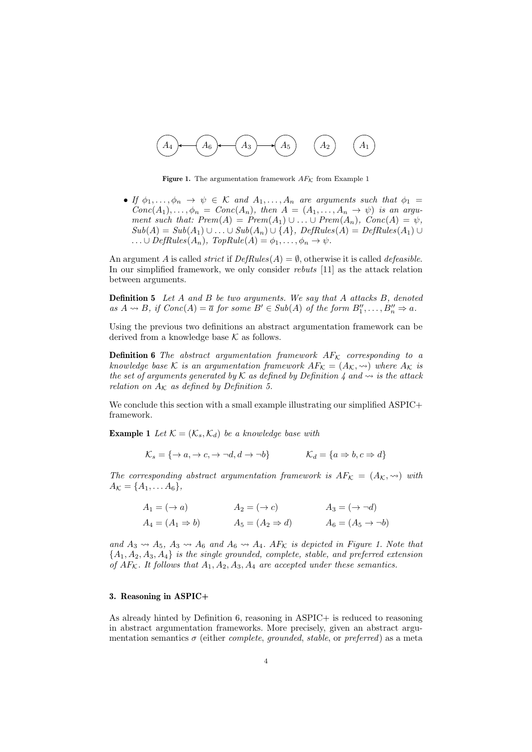

**Figure 1.** The argumentation framework  $AF_K$  from Example 1

• If  $\phi_1, \ldots, \phi_n \to \psi \in \mathcal{K}$  and  $A_1, \ldots, A_n$  are arguments such that  $\phi_1 =$  $Conc(A_1), \ldots, \phi_n = Conc(A_n)$ , then  $A = (A_1, \ldots, A_n \rightarrow \psi)$  is an argument such that:  $Prem(A) = Prem(A_1) \cup ... \cup Prem(A_n), Conc(A) = \psi,$  $Sub(A) = Sub(A_1) \cup ... \cup Sub(A_n) \cup \{A\}, \text{DefRules}(A) = \text{DefRules}(A_1) \cup ...$  $\ldots \cup DefRules(A_n), TopRule(A) = \phi_1, \ldots, \phi_n \rightarrow \psi.$ 

An argument A is called *strict* if  $DefRules(A) = \emptyset$ , otherwise it is called *defeasible*. In our simplified framework, we only consider rebuts [11] as the attack relation between arguments.

**Definition 5** Let  $A$  and  $B$  be two arguments. We say that  $A$  attacks  $B$ , denoted as  $A \rightsquigarrow B$ , if  $Conc(A) = \overline{a}$  for some  $B' \in Sub(A)$  of the form  $B''_1, \ldots, B''_n \Rightarrow a$ .

Using the previous two definitions an abstract argumentation framework can be derived from a knowledge base  $K$  as follows.

**Definition 6** The abstract argumentation framework  $AF_K$  corresponding to a knowledge base K is an argumentation framework  $AF_K = (A_K, \leadsto)$  where  $A_K$  is the set of arguments generated by K as defined by Definition 4 and  $\rightsquigarrow$  is the attack relation on  $A_K$  as defined by Definition 5.

We conclude this section with a small example illustrating our simplified ASPIC+ framework.

**Example 1** Let  $\mathcal{K} = (\mathcal{K}_s, \mathcal{K}_d)$  be a knowledge base with

$$
\mathcal{K}_s = \{ \rightarrow a, \rightarrow c, \rightarrow \neg d, d \rightarrow \neg b \} \qquad \qquad \mathcal{K}_d = \{ a \Rightarrow b, c \Rightarrow d \}
$$

The corresponding abstract argumentation framework is  $AF_K = (A_K, \leadsto)$  with  $A_{\mathcal{K}} = \{A_1, \ldots A_6\},\,$ 

$$
A_1 = (\rightarrow a) \qquad A_2 = (\rightarrow c) \qquad A_3 = (\rightarrow \neg d)
$$
  
\n
$$
A_4 = (A_1 \Rightarrow b) \qquad A_5 = (A_2 \Rightarrow d) \qquad A_6 = (A_5 \rightarrow \neg b)
$$

and  $A_3 \rightsquigarrow A_5$ ,  $A_3 \rightsquigarrow A_6$  and  $A_6 \rightsquigarrow A_4$ . AF<sub>K</sub> is depicted in Figure 1. Note that  ${A_1, A_2, A_3, A_4}$  is the single grounded, complete, stable, and preferred extension of  $AF_{\mathcal{K}}$ . It follows that  $A_1, A_2, A_3, A_4$  are accepted under these semantics.

#### 3. Reasoning in ASPIC+

As already hinted by Definition 6, reasoning in ASPIC+ is reduced to reasoning in abstract argumentation frameworks. More precisely, given an abstract argumentation semantics  $\sigma$  (either *complete, grounded, stable,* or *preferred*) as a meta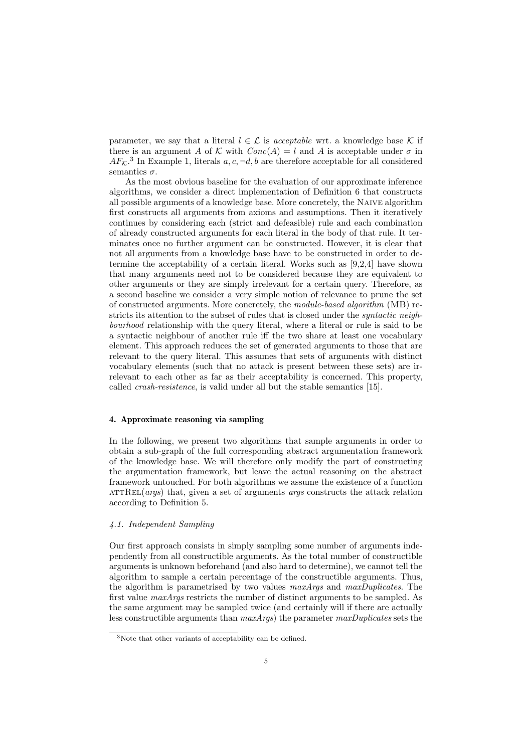parameter, we say that a literal  $l \in \mathcal{L}$  is acceptable wrt. a knowledge base K if there is an argument A of K with  $Conc(A) = l$  and A is acceptable under  $\sigma$  in  $AF<sub>K</sub>$ .<sup>3</sup> In Example 1, literals  $a, c, \neg d, b$  are therefore acceptable for all considered semantics  $\sigma$ .

As the most obvious baseline for the evaluation of our approximate inference algorithms, we consider a direct implementation of Definition 6 that constructs all possible arguments of a knowledge base. More concretely, the Naive algorithm first constructs all arguments from axioms and assumptions. Then it iteratively continues by considering each (strict and defeasible) rule and each combination of already constructed arguments for each literal in the body of that rule. It terminates once no further argument can be constructed. However, it is clear that not all arguments from a knowledge base have to be constructed in order to determine the acceptability of a certain literal. Works such as [9,2,4] have shown that many arguments need not to be considered because they are equivalent to other arguments or they are simply irrelevant for a certain query. Therefore, as a second baseline we consider a very simple notion of relevance to prune the set of constructed arguments. More concretely, the module-based algorithm (MB) restricts its attention to the subset of rules that is closed under the *syntactic neigh*bourhood relationship with the query literal, where a literal or rule is said to be a syntactic neighbour of another rule iff the two share at least one vocabulary element. This approach reduces the set of generated arguments to those that are relevant to the query literal. This assumes that sets of arguments with distinct vocabulary elements (such that no attack is present between these sets) are irrelevant to each other as far as their acceptability is concerned. This property, called crash-resistence, is valid under all but the stable semantics [15].

#### 4. Approximate reasoning via sampling

In the following, we present two algorithms that sample arguments in order to obtain a sub-graph of the full corresponding abstract argumentation framework of the knowledge base. We will therefore only modify the part of constructing the argumentation framework, but leave the actual reasoning on the abstract framework untouched. For both algorithms we assume the existence of a function  $ATTREL(args)$  that, given a set of arguments *args* constructs the attack relation according to Definition 5.

# 4.1. Independent Sampling

Our first approach consists in simply sampling some number of arguments independently from all constructible arguments. As the total number of constructible arguments is unknown beforehand (and also hard to determine), we cannot tell the algorithm to sample a certain percentage of the constructible arguments. Thus, the algorithm is parametrised by two values maxArgs and maxDuplicates. The first value maxArgs restricts the number of distinct arguments to be sampled. As the same argument may be sampled twice (and certainly will if there are actually less constructible arguments than  $maxArgs$ ) the parameter  $maxDuplicates$  sets the

<sup>3</sup>Note that other variants of acceptability can be defined.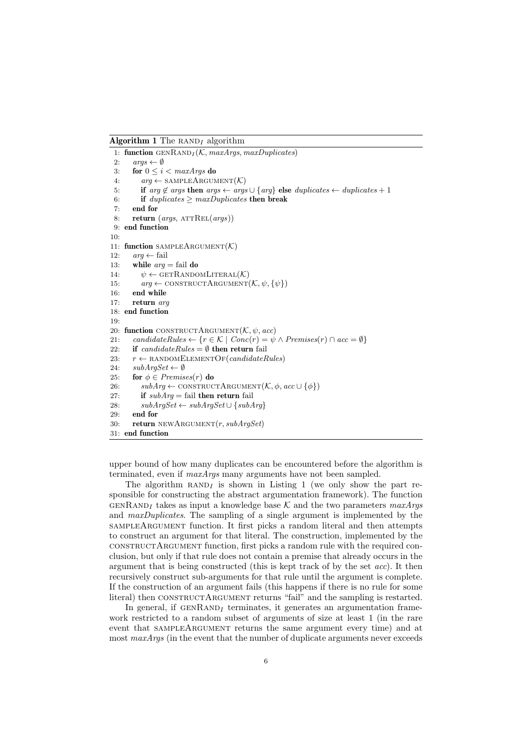**Algorithm 1** The RAND<sub>I</sub> algorithm

```
1: function \text{GENRAND}_I(\mathcal{K}, \text{maxArgs}, \text{maxDuplicates})2: args \leftarrow \emptyset3: for 0\leq i< \maxArgs do
 4: arg \leftarrow \text{SAMPLEARCHGUMENT}(\mathcal{K})5: if arg \notin args then args \leftarrow args \cup \{arg\} else duplicates \leftarrow duplicates + 16: if duplicates \geq maxDuplicates then break
 7: end for
 8: return (args, ATTREL(args))9: end function
10:
11: function SAMPLEARGUMENT(\mathcal{K})12: arg \leftarrow fail13: while arg = \text{fail} do
14: \psi \leftarrow \text{GETRANDOMLITERAL}(\mathcal{K})15: arg \leftarrow \text{CONTRCCT} \text{ARGUMENT}(\mathcal{K}, \psi, \{\psi\})16: end while
17: return arg
18: end function
19:
20: function CONSTRUCTARGUMENT(\mathcal{K}, \psi, acc)21: candidateRules ← {r \in \mathcal{K} | Conc(r) = \psi \wedge Premises(r) \cap acc = \emptyset}
22: if candidateRules = \emptyset then return fail
23: r \leftarrow RANDOMELEMENTOF(candidateRules)
24: subArgSet \leftarrow \emptyset25: for \phi \in Premises(r) do
26: subArg \leftarrow \text{CONTRCTARGUMENT}(\mathcal{K}, \phi, acc \cup \{\phi\})27: if subArg = \text{fail} then return fail
28: subArgSet \leftarrow subArgSet \cup \{subArg\}29: end for
30: return NEWARGUMENT(r, subArgSet)31: end function
```
upper bound of how many duplicates can be encountered before the algorithm is terminated, even if maxArgs many arguments have not been sampled.

The algorithm  $RAND_I$  is shown in Listing 1 (we only show the part responsible for constructing the abstract argumentation framework). The function GENRAND<sub>I</sub> takes as input a knowledge base K and the two parameters  $maxArgs$ and maxDuplicates. The sampling of a single argument is implemented by the sampleArgument function. It first picks a random literal and then attempts to construct an argument for that literal. The construction, implemented by the constructArgument function, first picks a random rule with the required conclusion, but only if that rule does not contain a premise that already occurs in the argument that is being constructed (this is kept track of by the set acc). It then recursively construct sub-arguments for that rule until the argument is complete. If the construction of an argument fails (this happens if there is no rule for some literal) then CONSTRUCTARGUMENT returns "fail" and the sampling is restarted.

In general, if  $GENRAND_I$  terminates, it generates an argumentation framework restricted to a random subset of arguments of size at least 1 (in the rare event that sampleArgument returns the same argument every time) and at most maxArgs (in the event that the number of duplicate arguments never exceeds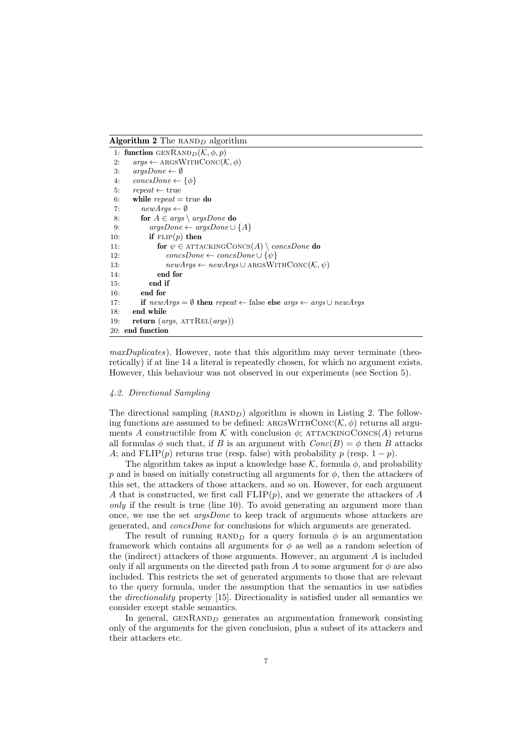**Algorithm 2** The RAND<sub>D</sub> algorithm

|     | 1: function GENRAND <sub>D</sub> $(K, \phi, p)$                                                  |
|-----|--------------------------------------------------------------------------------------------------|
| 2:  | $args \leftarrow \text{ARGSWITHCONC}(\mathcal{K}, \phi)$                                         |
| 3:  | $argsDone \leftarrow \emptyset$                                                                  |
| 4:  | $concsDone \leftarrow {\phi}$                                                                    |
| 5.  | $repeat \leftarrow true$                                                                         |
| 6:  | while repeat $=$ true do                                                                         |
| 7:  | $newArgs \leftarrow \emptyset$                                                                   |
| 8.  | for $A \in args \setminus argsDone$ do                                                           |
| 9:  | $argsDone \leftarrow argsDone \cup \{A\}$                                                        |
| 10: | if $FLIP(p)$ then                                                                                |
| 11: | for $\psi \in$ ATTACKING CONCS(A) $\setminus$ concsDone do                                       |
| 12: | $concsDone \leftarrow concsDone \cup {\psi}$                                                     |
| 13. | $newArgs \leftarrow newArgs \cup \text{ARGSWITHCONC}(\mathcal{K}, \psi)$                         |
| 14: | end for                                                                                          |
| 15: | end if                                                                                           |
| 16: | end for                                                                                          |
| 17: | if $newArgs = \emptyset$ then $repeat \leftarrow false$ else $args \leftarrow args \cup newArgs$ |
| 18: | end while                                                                                        |
| 19: | return ( <i>args</i> , $ATTREL(args)$ )                                                          |
|     | 20: end function                                                                                 |

maxDuplicates). However, note that this algorithm may never terminate (theoretically) if at line 14 a literal is repeatedly chosen, for which no argument exists. However, this behaviour was not observed in our experiments (see Section 5).

#### 4.2. Directional Sampling

The directional sampling  $(RAND<sub>D</sub>)$  algorithm is shown in Listing 2. The following functions are assumed to be defined: ARGSWITHCONC( $\mathcal{K}, \phi$ ) returns all arguments A constructible from K with conclusion  $\phi$ ; ATTACKINGCONCS(A) returns all formulas  $\phi$  such that, if B is an argument with  $Conc(B) = \phi$  then B attacks A; and FLIP(p) returns true (resp. false) with probability p (resp.  $1 - p$ ).

The algorithm takes as input a knowledge base  $\mathcal K$ , formula  $\phi$ , and probability p and is based on initially constructing all arguments for  $\phi$ , then the attackers of this set, the attackers of those attackers, and so on. However, for each argument A that is constructed, we first call  $FLIP(p)$ , and we generate the attackers of A only if the result is true (line 10). To avoid generating an argument more than once, we use the set argsDone to keep track of arguments whose attackers are generated, and concsDone for conclusions for which arguments are generated.

The result of running RAND<sub>D</sub> for a query formula  $\phi$  is an argumentation framework which contains all arguments for  $\phi$  as well as a random selection of the (indirect) attackers of those arguments. However, an argument A is included only if all arguments on the directed path from A to some argument for  $\phi$  are also included. This restricts the set of generated arguments to those that are relevant to the query formula, under the assumption that the semantics in use satisfies the directionality property [15]. Directionality is satisfied under all semantics we consider except stable semantics.

In general,  $GENRAND<sub>D</sub>$  generates an argumentation framework consisting only of the arguments for the given conclusion, plus a subset of its attackers and their attackers etc.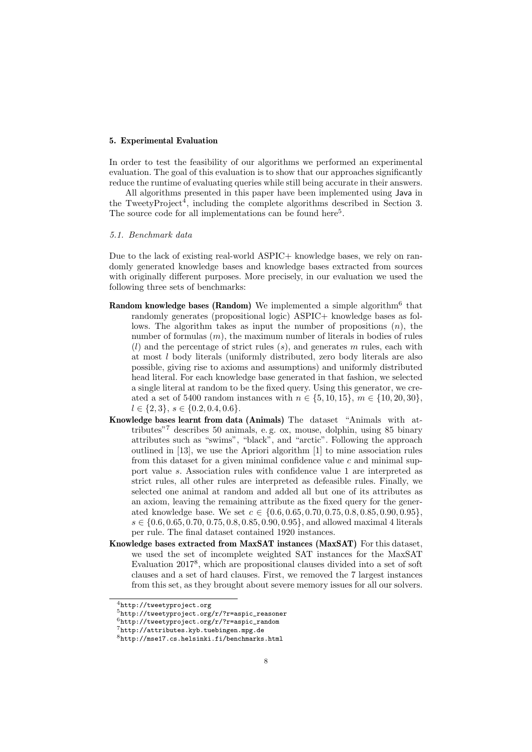# 5. Experimental Evaluation

In order to test the feasibility of our algorithms we performed an experimental evaluation. The goal of this evaluation is to show that our approaches significantly reduce the runtime of evaluating queries while still being accurate in their answers.

All algorithms presented in this paper have been implemented using Java in the TweetyProject<sup>4</sup>, including the complete algorithms described in Section 3. The source code for all implementations can be found here<sup>5</sup>.

#### 5.1. Benchmark data

Due to the lack of existing real-world ASPIC+ knowledge bases, we rely on randomly generated knowledge bases and knowledge bases extracted from sources with originally different purposes. More precisely, in our evaluation we used the following three sets of benchmarks:

- Random knowledge bases (Random) We implemented a simple algorithm<sup>6</sup> that randomly generates (propositional logic) ASPIC+ knowledge bases as follows. The algorithm takes as input the number of propositions  $(n)$ , the number of formulas  $(m)$ , the maximum number of literals in bodies of rules  $(l)$  and the percentage of strict rules  $(s)$ , and generates  $m$  rules, each with at most l body literals (uniformly distributed, zero body literals are also possible, giving rise to axioms and assumptions) and uniformly distributed head literal. For each knowledge base generated in that fashion, we selected a single literal at random to be the fixed query. Using this generator, we created a set of 5400 random instances with  $n \in \{5, 10, 15\}$ ,  $m \in \{10, 20, 30\}$ ,  $l \in \{2, 3\}, s \in \{0.2, 0.4, 0.6\}.$
- Knowledge bases learnt from data (Animals) The dataset "Animals with attributes"<sup>7</sup> describes 50 animals, e. g. ox, mouse, dolphin, using 85 binary attributes such as "swims", "black", and "arctic". Following the approach outlined in [13], we use the Apriori algorithm [1] to mine association rules from this dataset for a given minimal confidence value  $c$  and minimal support value s. Association rules with confidence value 1 are interpreted as strict rules, all other rules are interpreted as defeasible rules. Finally, we selected one animal at random and added all but one of its attributes as an axiom, leaving the remaining attribute as the fixed query for the generated knowledge base. We set  $c \in \{0.6, 0.65, 0.70, 0.75, 0.8, 0.85, 0.90, 0.95\},\$  $s \in \{0.6, 0.65, 0.70, 0.75, 0.8, 0.85, 0.90, 0.95\}$ , and allowed maximal 4 literals per rule. The final dataset contained 1920 instances.
- Knowledge bases extracted from MaxSAT instances (MaxSAT) For this dataset, we used the set of incomplete weighted SAT instances for the MaxSAT Evaluation 2017<sup>8</sup>, which are propositional clauses divided into a set of soft clauses and a set of hard clauses. First, we removed the 7 largest instances from this set, as they brought about severe memory issues for all our solvers.

<sup>4</sup>http://tweetyproject.org

 $5$ http://tweetyproject.org/r/?r=aspic\_reasoner

 $6$ http://tweetyproject.org/r/?r=aspic\_random

<sup>7</sup>http://attributes.kyb.tuebingen.mpg.de

<sup>8</sup>http://mse17.cs.helsinki.fi/benchmarks.html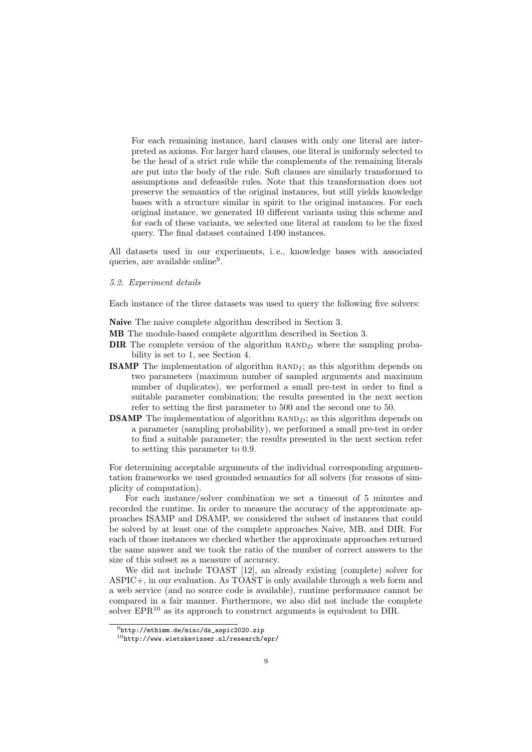For each remaining instance, hard clauses with only one literal are interpreted as axioms. For larger hard clauses, one literal is uniformly selected to be the head of a strict rule while the complements of the remaining literals are put into the body of the rule. Soft clauses are similarly transformed to assumptions and defeasible rules. Note that this transformation does not preserve the semantics of the original instances, but still yields knowledge bases with a structure similar in spirit to the original instances. For each original instance, we generated 10 different variants using this scheme and for each of these variants, we selected one literal at random to be the fixed query. The final dataset contained 1490 instances.

All datasets used in our experiments, i. e., knowledge bases with associated queries, are available online<sup>9</sup>.

#### 5.2. Experiment details

Each instance of the three datasets was used to query the following five solvers:

- Naive The naive complete algorithm described in Section 3.
- MB The module-based complete algorithm described in Section 3.
- **DIR** The complete version of the algorithm  $RAND<sub>D</sub>$  where the sampling probability is set to 1, see Section 4.
- **ISAMP** The implementation of algorithm  $RAND<sub>I</sub>$ ; as this algorithm depends on two parameters (maximum number of sampled arguments and maximum number of duplicates), we performed a small pre-test in order to find a suitable parameter combination; the results presented in the next section refer to setting the first parameter to 500 and the second one to 50.
- **DSAMP** The implementation of algorithm  $RAND<sub>D</sub>$ ; as this algorithm depends on a parameter (sampling probability), we performed a small pre-test in order to find a suitable parameter; the results presented in the next section refer to setting this parameter to 0.9.

For determining acceptable arguments of the individual corresponding argumentation frameworks we used grounded semantics for all solvers (for reasons of simplicity of computation).

For each instance/solver combination we set a timeout of 5 minutes and recorded the runtime. In order to measure the accuracy of the approximate approaches ISAMP and DSAMP, we considered the subset of instances that could be solved by at least one of the complete approaches Naive, MB, and DIR. For each of those instances we checked whether the approximate approaches returned the same answer and we took the ratio of the number of correct answers to the size of this subset as a measure of accuracy.

We did not include TOAST [12], an already existing (complete) solver for ASPIC+, in our evaluation. As TOAST is only available through a web form and a web service (and no source code is available), runtime performance cannot be compared in a fair manner. Furthermore, we also did not include the complete solver  $EPR^{10}$  as its approach to construct arguments is equivalent to DIR.

 $^{9}$ http://mthimm.de/misc/ds\_aspic2020.zip

<sup>10</sup>http://www.wietskevisser.nl/research/epr/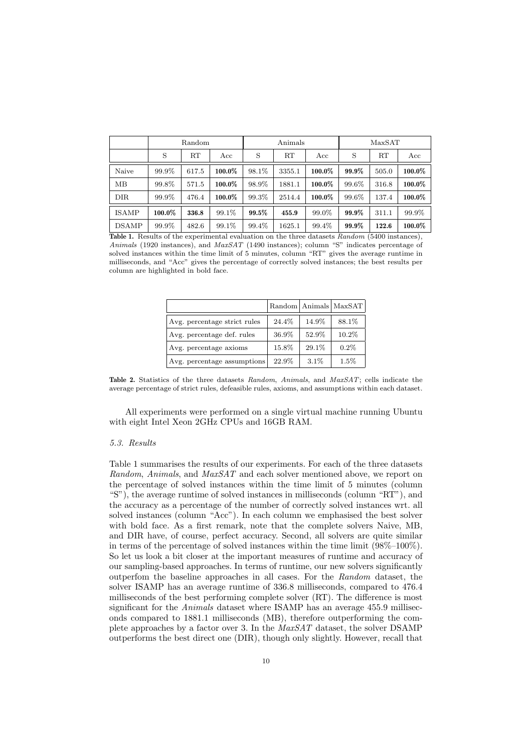|              | Random    |       |        | Animals |        |           | MaxSAT |       |           |
|--------------|-----------|-------|--------|---------|--------|-----------|--------|-------|-----------|
|              | S         | RT    | Acc    | S       | RT     | Acc       | S      | RT    | Acc       |
| Naive        | 99.9%     | 617.5 | 100.0% | 98.1%   | 3355.1 | $100.0\%$ | 99.9%  | 505.0 | $100.0\%$ |
| MB           | 99.8%     | 571.5 | 100.0% | 98.9%   | 1881.1 | $100.0\%$ | 99.6%  | 316.8 | $100.0\%$ |
| <b>DIR</b>   | 99.9%     | 476.4 | 100.0% | 99.3%   | 2514.4 | $100.0\%$ | 99.6%  | 137.4 | $100.0\%$ |
| <b>ISAMP</b> | $100.0\%$ | 336.8 | 99.1%  | 99.5%   | 455.9  | 99.0%     | 99.9%  | 311.1 | 99.9%     |
| <b>DSAMP</b> | 99.9%     | 482.6 | 99.1%  | 99.4%   | 1625.1 | 99.4%     | 99.9%  | 122.6 | $100.0\%$ |

Table 1. Results of the experimental evaluation on the three datasets Random (5400 instances), Animals (1920 instances), and MaxSAT (1490 instances); column "S" indicates percentage of solved instances within the time limit of 5 minutes, column "RT" gives the average runtime in milliseconds, and "Acc" gives the percentage of correctly solved instances; the best results per column are highlighted in bold face.

|                              |       |         | Random   Animals   MaxSAT |
|------------------------------|-------|---------|---------------------------|
| Avg. percentage strict rules | 24.4% | 14.9%   | 88.1%                     |
| Avg. percentage def. rules   | 36.9% | 52.9%   | 10.2%                     |
| Avg. percentage axioms       | 15.8% | 29.1%   | $0.2\%$                   |
| Avg. percentage assumptions  | 22.9% | $3.1\%$ | $1.5\%$                   |

Table 2. Statistics of the three datasets Random, Animals, and MaxSAT; cells indicate the average percentage of strict rules, defeasible rules, axioms, and assumptions within each dataset.

All experiments were performed on a single virtual machine running Ubuntu with eight Intel Xeon 2GHz CPUs and 16GB RAM.

#### 5.3. Results

Table 1 summarises the results of our experiments. For each of the three datasets Random, Animals, and MaxSAT and each solver mentioned above, we report on the percentage of solved instances within the time limit of 5 minutes (column "S"), the average runtime of solved instances in milliseconds (column "RT"), and the accuracy as a percentage of the number of correctly solved instances wrt. all solved instances (column "Acc"). In each column we emphasised the best solver with bold face. As a first remark, note that the complete solvers Naive, MB, and DIR have, of course, perfect accuracy. Second, all solvers are quite similar in terms of the percentage of solved instances within the time limit (98%–100%). So let us look a bit closer at the important measures of runtime and accuracy of our sampling-based approaches. In terms of runtime, our new solvers significantly outperfom the baseline approaches in all cases. For the Random dataset, the solver ISAMP has an average runtime of 336.8 milliseconds, compared to 476.4 milliseconds of the best performing complete solver (RT). The difference is most significant for the Animals dataset where ISAMP has an average 455.9 milliseconds compared to 1881.1 milliseconds (MB), therefore outperforming the complete approaches by a factor over 3. In the MaxSAT dataset, the solver DSAMP outperforms the best direct one (DIR), though only slightly. However, recall that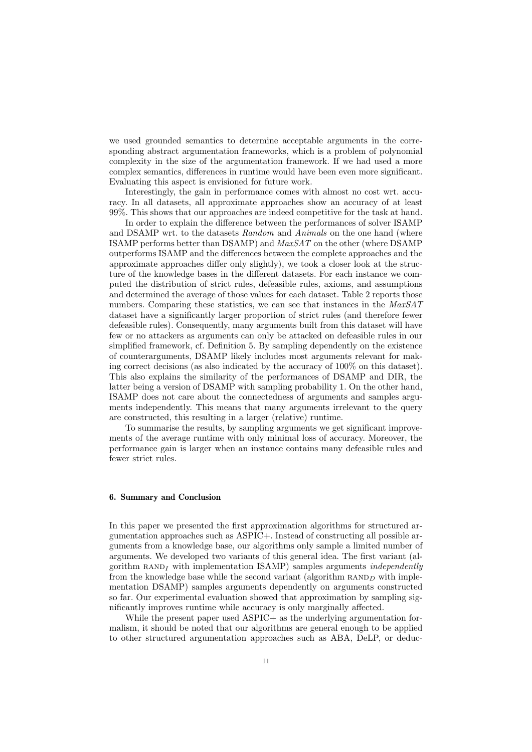we used grounded semantics to determine acceptable arguments in the corresponding abstract argumentation frameworks, which is a problem of polynomial complexity in the size of the argumentation framework. If we had used a more complex semantics, differences in runtime would have been even more significant. Evaluating this aspect is envisioned for future work.

Interestingly, the gain in performance comes with almost no cost wrt. accuracy. In all datasets, all approximate approaches show an accuracy of at least 99%. This shows that our approaches are indeed competitive for the task at hand.

In order to explain the difference between the performances of solver ISAMP and DSAMP wrt. to the datasets Random and Animals on the one hand (where ISAMP performs better than DSAMP) and MaxSAT on the other (where DSAMP outperforms ISAMP and the differences between the complete approaches and the approximate approaches differ only slightly), we took a closer look at the structure of the knowledge bases in the different datasets. For each instance we computed the distribution of strict rules, defeasible rules, axioms, and assumptions and determined the average of those values for each dataset. Table 2 reports those numbers. Comparing these statistics, we can see that instances in the MaxSAT dataset have a significantly larger proportion of strict rules (and therefore fewer defeasible rules). Consequently, many arguments built from this dataset will have few or no attackers as arguments can only be attacked on defeasible rules in our simplified framework, cf. Definition 5. By sampling dependently on the existence of counterarguments, DSAMP likely includes most arguments relevant for making correct decisions (as also indicated by the accuracy of 100% on this dataset). This also explains the similarity of the performances of DSAMP and DIR, the latter being a version of DSAMP with sampling probability 1. On the other hand, ISAMP does not care about the connectedness of arguments and samples arguments independently. This means that many arguments irrelevant to the query are constructed, this resulting in a larger (relative) runtime.

To summarise the results, by sampling arguments we get significant improvements of the average runtime with only minimal loss of accuracy. Moreover, the performance gain is larger when an instance contains many defeasible rules and fewer strict rules.

# 6. Summary and Conclusion

In this paper we presented the first approximation algorithms for structured argumentation approaches such as ASPIC+. Instead of constructing all possible arguments from a knowledge base, our algorithms only sample a limited number of arguments. We developed two variants of this general idea. The first variant (algorithm RAND<sub>I</sub> with implementation ISAMP) samples arguments *independently* from the knowledge base while the second variant (algorithm  $\text{RAND}_D$  with implementation DSAMP) samples arguments dependently on arguments constructed so far. Our experimental evaluation showed that approximation by sampling significantly improves runtime while accuracy is only marginally affected.

While the present paper used ASPIC+ as the underlying argumentation formalism, it should be noted that our algorithms are general enough to be applied to other structured argumentation approaches such as ABA, DeLP, or deduc